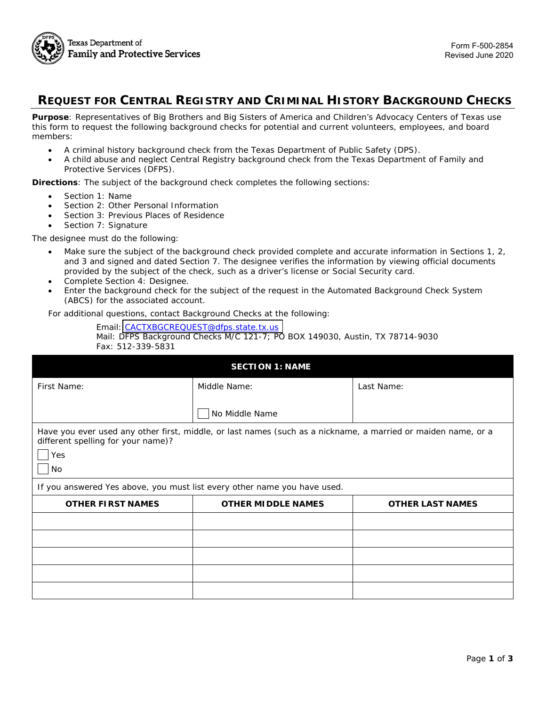

# **REQUEST FOR CENTRAL REGISTRY AND CRIMINAL HISTORY BACKGROUND CHECKS**

**Purpose**: Representatives of Big Brothers and Big Sisters of America and Children's Advocacy Centers of Texas use this form to request the following background checks for potential and current volunteers, employees, and board members:

- A criminal history background check from the Texas Department of Public Safety (DPS).
- A child abuse and neglect Central Registry background check from the Texas Department of Family and Protective Services (DFPS).

**Directions**: The subject of the background check completes the following sections:

- *Section 1: Name*
- *Section 2: Other Personal Information*
- *Section 3: Previous Places of Residence*
- *Section 7: Signature*

The designee must do the following:

- Make sure the subject of the background check provided complete and accurate information in Sections 1, 2, and 3 and signed and dated Section 7. The designee verifies the information by viewing official documents provided by the subject of the check, such as a driver's license or Social Security card.
- Complete *Section 4: Designee*.
- Enter the background check for the subject of the request in the Automated Background Check System (ABCS) for the associated account.

For additional questions, contact Background Checks at the following:

Email: [CACTXBGCREQUEST@dfps.state.tx.us](mailto: CACTBGCREQUEST@dfps.state.tx.us)  Mail: DFPS Background Checks M/C 121-7; PO BOX 149030, Austin, TX 78714-9030 Fax: 512-339-5831

| <b>SECTION 1: NAME</b>                                                   |                                                                                                               |                         |  |  |  |
|--------------------------------------------------------------------------|---------------------------------------------------------------------------------------------------------------|-------------------------|--|--|--|
| First Name:                                                              | Middle Name:                                                                                                  | Last Name:              |  |  |  |
|                                                                          | No Middle Name                                                                                                |                         |  |  |  |
| different spelling for your name)?<br>Yes<br>No                          | Have you ever used any other first, middle, or last names (such as a nickname, a married or maiden name, or a |                         |  |  |  |
| If you answered Yes above, you must list every other name you have used. |                                                                                                               |                         |  |  |  |
| <b>OTHER FIRST NAMES</b>                                                 | <b>OTHER MIDDLE NAMES</b>                                                                                     | <b>OTHER LAST NAMES</b> |  |  |  |
|                                                                          |                                                                                                               |                         |  |  |  |
|                                                                          |                                                                                                               |                         |  |  |  |
|                                                                          |                                                                                                               |                         |  |  |  |
|                                                                          |                                                                                                               |                         |  |  |  |
|                                                                          |                                                                                                               |                         |  |  |  |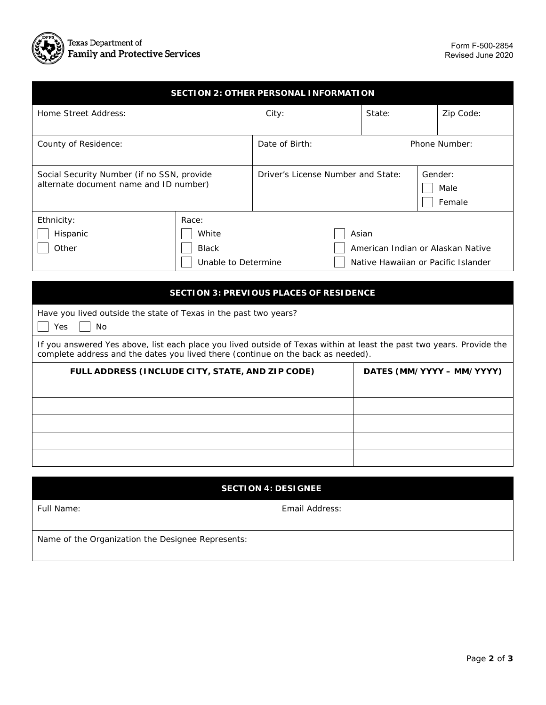

| <b>SECTION 2: OTHER PERSONAL INFORMATION</b>                                                                                                                                                              |                     |                                    |        |                                     |                                   |                           |  |
|-----------------------------------------------------------------------------------------------------------------------------------------------------------------------------------------------------------|---------------------|------------------------------------|--------|-------------------------------------|-----------------------------------|---------------------------|--|
| Home Street Address:                                                                                                                                                                                      |                     | City:                              | State: |                                     |                                   | Zip Code:                 |  |
| County of Residence:                                                                                                                                                                                      |                     | Date of Birth:                     |        |                                     | Phone Number:                     |                           |  |
| Social Security Number (if no SSN, provide<br>alternate document name and ID number)                                                                                                                      |                     | Driver's License Number and State: |        |                                     |                                   | Gender:<br>Male<br>Female |  |
| Ethnicity:                                                                                                                                                                                                | Race:               |                                    |        |                                     |                                   |                           |  |
| Hispanic                                                                                                                                                                                                  | White               |                                    |        | Asian                               |                                   |                           |  |
| Other                                                                                                                                                                                                     | <b>Black</b>        |                                    |        |                                     | American Indian or Alaskan Native |                           |  |
|                                                                                                                                                                                                           | Unable to Determine |                                    |        | Native Hawaiian or Pacific Islander |                                   |                           |  |
|                                                                                                                                                                                                           |                     |                                    |        |                                     |                                   |                           |  |
| <b>SECTION 3: PREVIOUS PLACES OF RESIDENCE</b>                                                                                                                                                            |                     |                                    |        |                                     |                                   |                           |  |
| Have you lived outside the state of Texas in the past two years?<br>Yes<br><b>No</b>                                                                                                                      |                     |                                    |        |                                     |                                   |                           |  |
| If you answered Yes above, list each place you lived outside of Texas within at least the past two years. Provide the<br>complete address and the dates you lived there (continue on the back as needed). |                     |                                    |        |                                     |                                   |                           |  |
| FULL ADDRESS (INCLUDE CITY, STATE, AND ZIP CODE)                                                                                                                                                          |                     |                                    |        |                                     |                                   | DATES (MM/YYYY - MM/YYYY) |  |
|                                                                                                                                                                                                           |                     |                                    |        |                                     |                                   |                           |  |
|                                                                                                                                                                                                           |                     |                                    |        |                                     |                                   |                           |  |
|                                                                                                                                                                                                           |                     |                                    |        |                                     |                                   |                           |  |
|                                                                                                                                                                                                           |                     |                                    |        |                                     |                                   |                           |  |
|                                                                                                                                                                                                           |                     |                                    |        |                                     |                                   |                           |  |
|                                                                                                                                                                                                           |                     |                                    |        |                                     |                                   |                           |  |

| <b>SECTION 4: DESIGNEE</b>                        |                |  |  |  |
|---------------------------------------------------|----------------|--|--|--|
| Full Name:                                        | Email Address: |  |  |  |
| Name of the Organization the Designee Represents: |                |  |  |  |